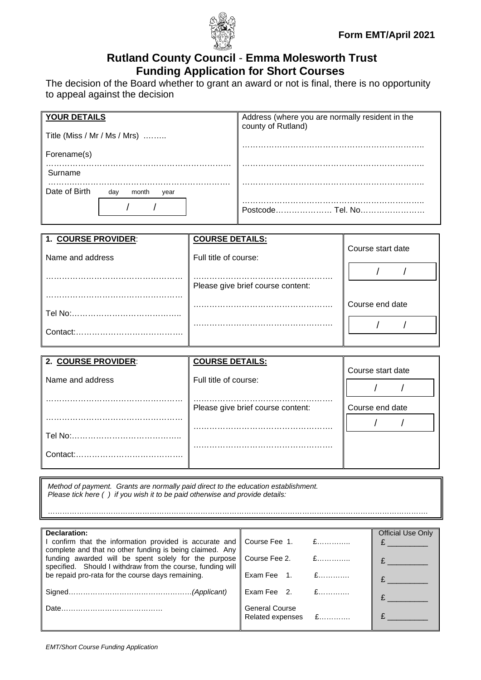

## **Rutland County Council** - **Emma Molesworth Trust Funding Application for Short Courses**

The decision of the Board whether to grant an award or not is final, there is no opportunity to appeal against the decision

| <b>YOUR DETAILS</b> |                              | Address (where you are normally resident in the |
|---------------------|------------------------------|-------------------------------------------------|
|                     | Title (Miss / Mr / Ms / Mrs) | county of Rutland)                              |
| Forename(s)         |                              |                                                 |
| Surname             |                              |                                                 |
| Date of Birth       | month<br>day<br>year         |                                                 |
|                     |                              | Postcode<br>Tel. No                             |

| 1. COURSE PROVIDER: | <b>COURSE DETAILS:</b>            |                   |  |
|---------------------|-----------------------------------|-------------------|--|
| Name and address    | Full title of course:             | Course start date |  |
|                     |                                   |                   |  |
|                     | Please give brief course content: |                   |  |
|                     |                                   |                   |  |
|                     |                                   | Course end date   |  |
| Tel No:             |                                   |                   |  |
| Contact:            |                                   |                   |  |
|                     |                                   |                   |  |

| 2. COURSE PROVIDER: | <b>COURSE DETAILS:</b>            |                   |
|---------------------|-----------------------------------|-------------------|
| Name and address    | Full title of course:             | Course start date |
|                     | Please give brief course content: | Course end date   |
|                     |                                   |                   |
| Tel No:             |                                   |                   |
| Contact:            |                                   |                   |

*Method of payment. Grants are normally paid direct to the education establishment. Please tick here ( ) if you wish it to be paid otherwise and provide details:*

………………………………………………………………………………………………………………………………………….

| Declaration:                                                                                                        |                                             | <b>Official Use Only</b> |
|---------------------------------------------------------------------------------------------------------------------|---------------------------------------------|--------------------------|
| I confirm that the information provided is accurate and<br>complete and that no other funding is being claimed. Any | $E$<br>Course Fee 1.                        |                          |
| funding awarded will be spent solely for the purpose<br>specified. Should I withdraw from the course, funding will  | Course Fee 2.<br>$E$                        |                          |
| be repaid pro-rata for the course days remaining.                                                                   | Exam Fee $1.$ £                             |                          |
|                                                                                                                     | Exam Fee $2.$ £                             |                          |
|                                                                                                                     | <b>General Course</b><br>Related expenses £ |                          |